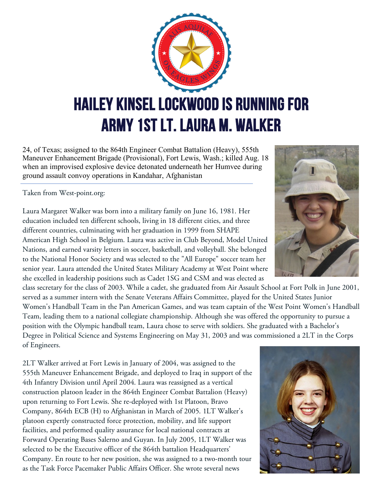

24, of Texas; assigned to the 864th Engineer Combat Battalion (Heavy), 555th Maneuver Enhancement Brigade (Provisional), Fort Lewis, Wash.; killed Aug. 18 when an improvised explosive device detonated underneath her Humvee during ground assault convoy operations in Kandahar, Afghanistan

Taken from West-point.org:

Laura Margaret Walker was born into a military family on June 16, 1981. Her education included ten different schools, living in 18 different cities, and three different countries, culminating with her graduation in 1999 from SHAPE American High School in Belgium. Laura was active in Club Beyond, Model United Nations, and earned varsity letters in soccer, basketball, and volleyball. She belonged to the National Honor Society and was selected to the "All Europe" soccer team her senior year. Laura attended the United States Military Academy at West Point where she excelled in leadership positions such as Cadet 1SG and CSM and was elected as

class secretary for the class of 2003. While a cadet, she graduated from Air Assault School at Fort Polk in June 2001, served as a summer intern with the Senate Veterans Affairs Committee, played for the United States Junior Women's Handball Team in the Pan American Games, and was team captain of the West Point Women's Handball Team, leading them to a national collegiate championship. Although she was offered the opportunity to pursue a position with the Olympic handball team, Laura chose to serve with soldiers. She graduated with a Bachelor's Degree in Political Science and Systems Engineering on May 31, 2003 and was commissioned a 2LT in the Corps of Engineers.

2LT Walker arrived at Fort Lewis in January of 2004, was assigned to the 555th Maneuver Enhancement Brigade, and deployed to Iraq in support of the 4th Infantry Division until April 2004. Laura was reassigned as a vertical construction platoon leader in the 864th Engineer Combat Battalion (Heavy) upon returning to Fort Lewis. She re-deployed with 1st Platoon, Bravo Company, 864th ECB (H) to Afghanistan in March of 2005. 1LT Walker's platoon expertly constructed force protection, mobility, and life support facilities, and performed quality assurance for local national contracts at Forward Operating Bases Salerno and Guyan. In July 2005, 1LT Walker was selected to be the Executive officer of the 864th battalion Headquarters' Company. En route to her new position, she was assigned to a two-month tour as the Task Force Pacemaker Public Affairs Officer. She wrote several news



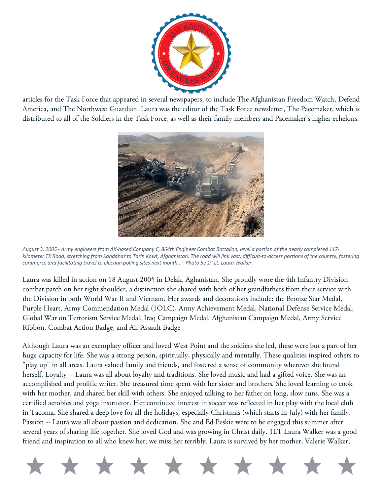

articles for the Task Force that appeared in several newspapers, to include The Afghanistan Freedom Watch, Defend America, and The Northwest Guardian. Laura was the editor of the Task Force newsletter, The Pacemaker, which is distributed to all of the Soldiers in the Task Force, as well as their family members and Pacemaker's higher echelons.



*August 3, 2005 - Army engineers from AK-based Company C, 864th Engineer Combat Battalion, level a portion of the nearly completed 117 kilometer TK Road, stretching from Kandahar to Tarin Kowt, Afghanistan. The road will link vast, difficult-to-access portions of the country, fostering commerce and facilitating travel to election polling sites next month.. – Photo by 1st Lt. Laura Walker.*

Laura was killed in action on 18 August 2005 in Delak, Aghanistan. She proudly wore the 4th Infantry Division combat patch on her right shoulder, a distinction she shared with both of her grandfathers from their service with the Division in both World War II and Vietnam. Her awards and decorations include: the Bronze Star Medal, Purple Heart, Army Commendation Medal (1OLC), Army Achievement Medal, National Defense Service Medal, Global War on Terrorism Service Medal, Iraq Campaign Medal, Afghanistan Campaign Medal, Army Service Ribbon, Combat Action Badge, and Air Assault Badge

Although Laura was an exemplary officer and loved West Point and the soldiers she led, these were but a part of her huge capacity for life. She was a strong person, spiritually, physically and mentally. These qualities inspired others to "play up" in all areas. Laura valued family and friends, and fostered a sense of community wherever she found herself. Loyalty -- Laura was all about loyalty and traditions. She loved music and had a gifted voice. She was an accomplished and prolific writer. She treasured time spent with her sister and brothers. She loved learning to cook with her mother, and shared her skill with others. She enjoyed talking to her father on long, slow runs. She was a certified aerobics and yoga instructor. Her continued interest in soccer was reflected in her play with the local club in Tacoma. She shared a deep love for all the holidays, especially Christmas (which starts in July) with her family. Passion -- Laura was all about passion and dedication. She and Ed Peskie were to be engaged this summer after several years of sharing life together. She loved God and was growing in Christ daily. 1LT Laura Walker was a good friend and inspiration to all who knew her; we miss her terribly. Laura is survived by her mother, Valerie Walker,